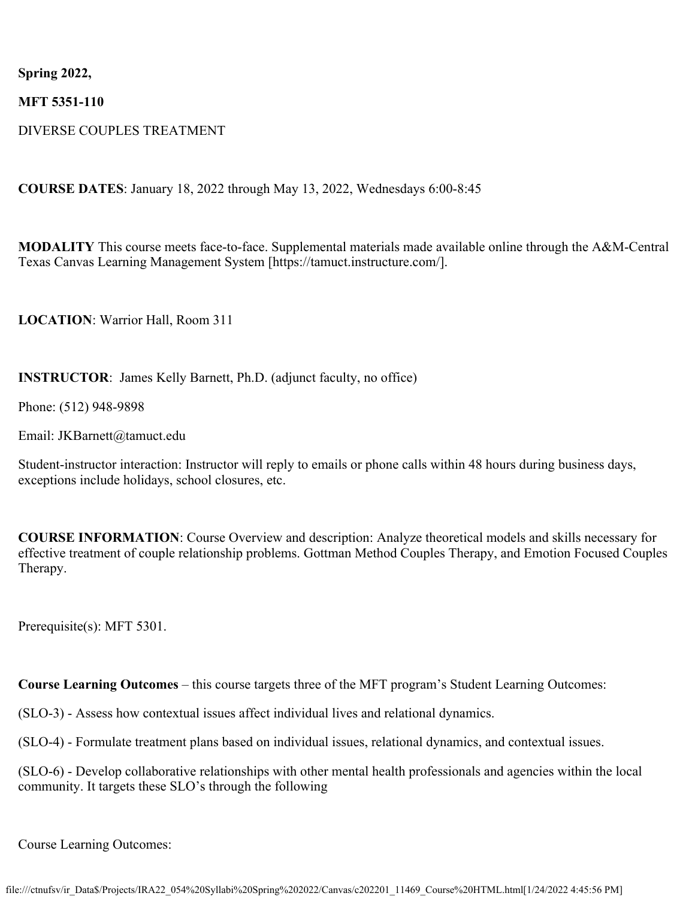#### **Spring 2022,**

#### **MFT 5351-110**

DIVERSE COUPLES TREATMENT

**COURSE DATES**: January 18, 2022 through May 13, 2022, Wednesdays 6:00-8:45

**MODALITY** This course meets face-to-face. Supplemental materials made available online through the A&M-Central Texas Canvas Learning Management System [https://tamuct.instructure.com/].

**LOCATION**: Warrior Hall, Room 311

**INSTRUCTOR**: James Kelly Barnett, Ph.D. (adjunct faculty, no office)

Phone: (512) 948-9898

Email: JKBarnett@tamuct.edu

Student-instructor interaction: Instructor will reply to emails or phone calls within 48 hours during business days, exceptions include holidays, school closures, etc.

**COURSE INFORMATION**: Course Overview and description: Analyze theoretical models and skills necessary for effective treatment of couple relationship problems. Gottman Method Couples Therapy, and Emotion Focused Couples Therapy.

Prerequisite(s): MFT 5301.

**Course Learning Outcomes** – this course targets three of the MFT program's Student Learning Outcomes:

(SLO-3) - Assess how contextual issues affect individual lives and relational dynamics.

(SLO-4) - Formulate treatment plans based on individual issues, relational dynamics, and contextual issues.

(SLO-6) - Develop collaborative relationships with other mental health professionals and agencies within the local community. It targets these SLO's through the following

Course Learning Outcomes: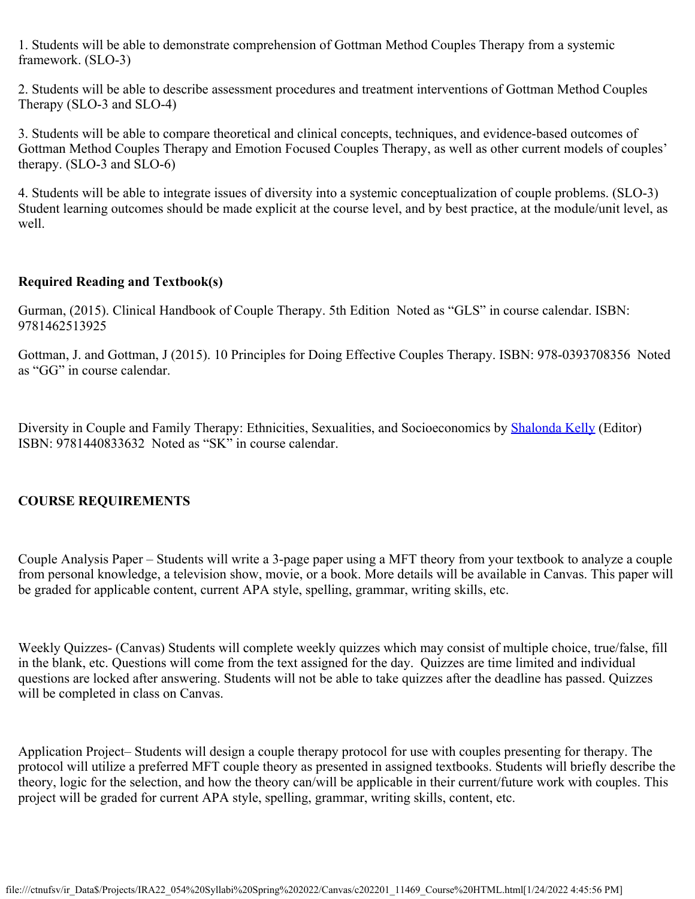1. Students will be able to demonstrate comprehension of Gottman Method Couples Therapy from a systemic framework. (SLO-3)

2. Students will be able to describe assessment procedures and treatment interventions of Gottman Method Couples Therapy (SLO-3 and SLO-4)

3. Students will be able to compare theoretical and clinical concepts, techniques, and evidence-based outcomes of Gottman Method Couples Therapy and Emotion Focused Couples Therapy, as well as other current models of couples' therapy. (SLO-3 and SLO-6)

4. Students will be able to integrate issues of diversity into a systemic conceptualization of couple problems. (SLO-3) Student learning outcomes should be made explicit at the course level, and by best practice, at the module/unit level, as well.

## **Required Reading and Textbook(s)**

Gurman, (2015). Clinical Handbook of Couple Therapy. 5th Edition Noted as "GLS" in course calendar. ISBN: 9781462513925

Gottman, J. and Gottman, J (2015). 10 Principles for Doing Effective Couples Therapy. ISBN: 978-0393708356 Noted as "GG" in course calendar.

Diversity in Couple and Family Therapy: Ethnicities, Sexualities, and Socioeconomics by [Shalonda Kelly](https://www.amazon.com/s/ref=dp_byline_sr_book_1?ie=UTF8&field-author=Shalonda+Kelly&text=Shalonda+Kelly&sort=relevancerank&search-alias=books) (Editor) ISBN: 9781440833632 Noted as "SK" in course calendar.

## **COURSE REQUIREMENTS**

Couple Analysis Paper – Students will write a 3-page paper using a MFT theory from your textbook to analyze a couple from personal knowledge, a television show, movie, or a book. More details will be available in Canvas. This paper will be graded for applicable content, current APA style, spelling, grammar, writing skills, etc.

Weekly Quizzes- (Canvas) Students will complete weekly quizzes which may consist of multiple choice, true/false, fill in the blank, etc. Questions will come from the text assigned for the day. Quizzes are time limited and individual questions are locked after answering. Students will not be able to take quizzes after the deadline has passed. Quizzes will be completed in class on Canvas.

Application Project– Students will design a couple therapy protocol for use with couples presenting for therapy. The protocol will utilize a preferred MFT couple theory as presented in assigned textbooks. Students will briefly describe the theory, logic for the selection, and how the theory can/will be applicable in their current/future work with couples. This project will be graded for current APA style, spelling, grammar, writing skills, content, etc.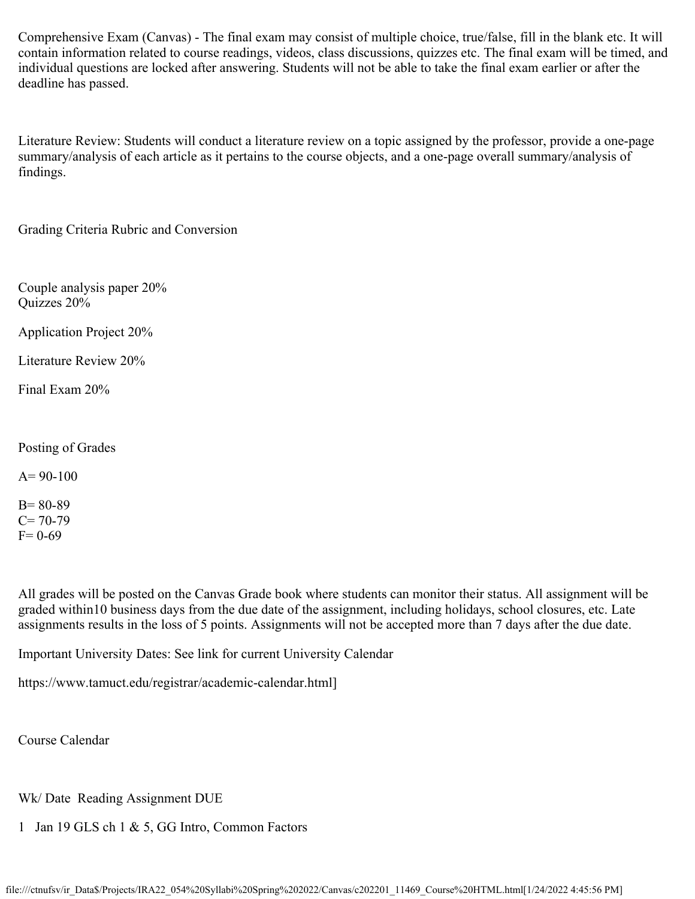Comprehensive Exam (Canvas) - The final exam may consist of multiple choice, true/false, fill in the blank etc. It will contain information related to course readings, videos, class discussions, quizzes etc. The final exam will be timed, and individual questions are locked after answering. Students will not be able to take the final exam earlier or after the deadline has passed.

Literature Review: Students will conduct a literature review on a topic assigned by the professor, provide a one-page summary/analysis of each article as it pertains to the course objects, and a one-page overall summary/analysis of findings.

Grading Criteria Rubric and Conversion

Couple analysis paper 20% Quizzes 20%

Application Project 20%

Literature Review 20%

Final Exam 20%

Posting of Grades

 $A= 90-100$ 

 $B = 80-89$  $C= 70-79$  $F = 0 - 69$ 

All grades will be posted on the Canvas Grade book where students can monitor their status. All assignment will be graded within10 business days from the due date of the assignment, including holidays, school closures, etc. Late assignments results in the loss of 5 points. Assignments will not be accepted more than 7 days after the due date.

Important University Dates: See link for current University Calendar

https://www.tamuct.edu/registrar/academic-calendar.html]

Course Calendar

Wk/ Date Reading Assignment DUE

1 Jan 19 GLS ch 1 & 5, GG Intro, Common Factors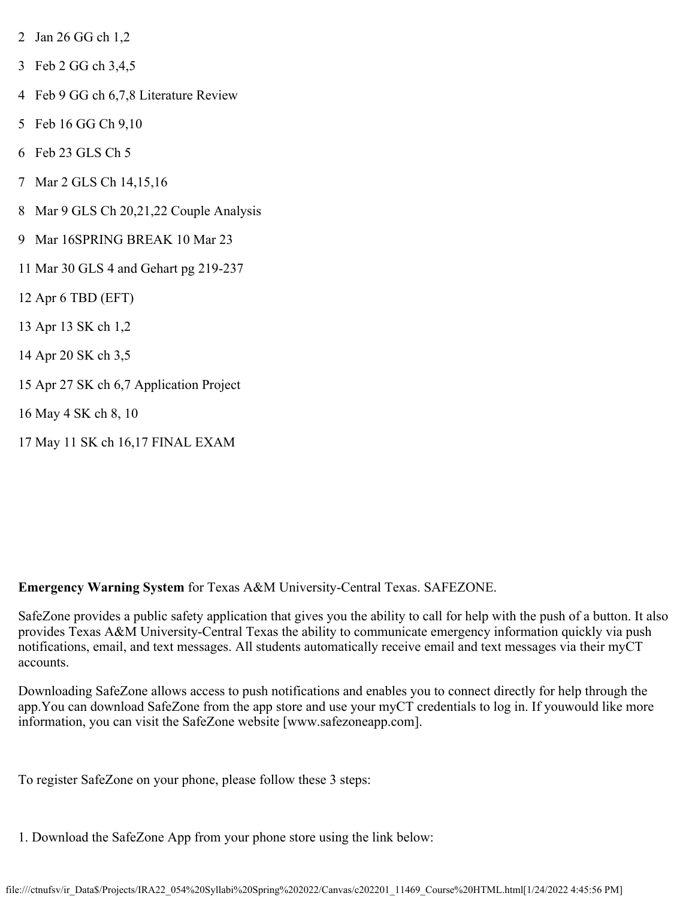- 2 Jan 26 GG ch 1,2
- 3 Feb 2 GG ch 3,4,5
- 4 Feb 9 GG ch 6,7,8 Literature Review
- 5 Feb 16 GG Ch 9,10
- 6 Feb 23 GLS Ch 5
- 7 Mar 2 GLS Ch 14,15,16
- 8 Mar 9 GLS Ch 20,21,22 Couple Analysis
- 9 Mar 16SPRING BREAK 10 Mar 23
- 11 Mar 30 GLS 4 and Gehart pg 219-237
- 12 Apr 6 TBD (EFT)
- 13 Apr 13 SK ch 1,2
- 14 Apr 20 SK ch 3,5
- 15 Apr 27 SK ch 6,7 Application Project
- 16 May 4 SK ch 8, 10
- 17 May 11 SK ch 16,17 FINAL EXAM

## **Emergency Warning System** for Texas A&M University-Central Texas. SAFEZONE.

SafeZone provides a public safety application that gives you the ability to call for help with the push of a button. It also provides Texas A&M University-Central Texas the ability to communicate emergency information quickly via push notifications, email, and text messages. All students automatically receive email and text messages via their myCT accounts.

Downloading SafeZone allows access to push notifications and enables you to connect directly for help through the app.You can download SafeZone from the app store and use your myCT credentials to log in. If youwould like more information, you can visit the SafeZone website [www.safezoneapp.com].

To register SafeZone on your phone, please follow these 3 steps:

1. Download the SafeZone App from your phone store using the link below: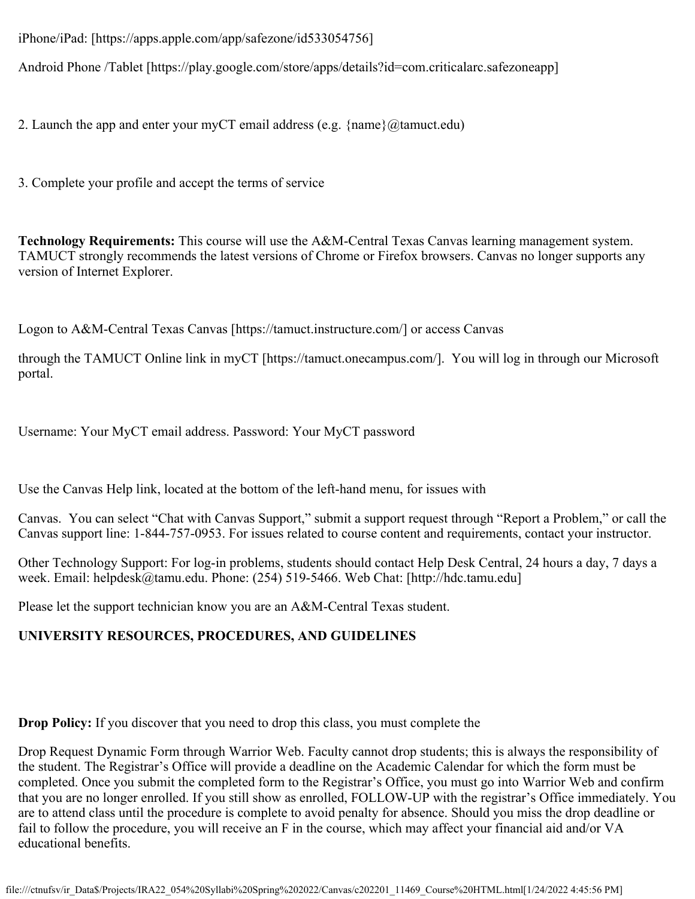iPhone/iPad: [https://apps.apple.com/app/safezone/id533054756]

Android Phone /Tablet [https://play.google.com/store/apps/details?id=com.criticalarc.safezoneapp]

2. Launch the app and enter your myCT email address (e.g.  $\{name\}\varnothing$ tamuct.edu)

3. Complete your profile and accept the terms of service

**Technology Requirements:** This course will use the A&M-Central Texas Canvas learning management system. TAMUCT strongly recommends the latest versions of Chrome or Firefox browsers. Canvas no longer supports any version of Internet Explorer.

Logon to A&M-Central Texas Canvas [https://tamuct.instructure.com/] or access Canvas

through the TAMUCT Online link in myCT [https://tamuct.onecampus.com/]. You will log in through our Microsoft portal.

Username: Your MyCT email address. Password: Your MyCT password

Use the Canvas Help link, located at the bottom of the left-hand menu, for issues with

Canvas. You can select "Chat with Canvas Support," submit a support request through "Report a Problem," or call the Canvas support line: 1-844-757-0953. For issues related to course content and requirements, contact your instructor.

Other Technology Support: For log-in problems, students should contact Help Desk Central, 24 hours a day, 7 days a week. Email: helpdesk@tamu.edu. Phone: (254) 519-5466. Web Chat: [http://hdc.tamu.edu]

Please let the support technician know you are an A&M-Central Texas student.

# **UNIVERSITY RESOURCES, PROCEDURES, AND GUIDELINES**

**Drop Policy:** If you discover that you need to drop this class, you must complete the

Drop Request Dynamic Form through Warrior Web. Faculty cannot drop students; this is always the responsibility of the student. The Registrar's Office will provide a deadline on the Academic Calendar for which the form must be completed. Once you submit the completed form to the Registrar's Office, you must go into Warrior Web and confirm that you are no longer enrolled. If you still show as enrolled, FOLLOW-UP with the registrar's Office immediately. You are to attend class until the procedure is complete to avoid penalty for absence. Should you miss the drop deadline or fail to follow the procedure, you will receive an F in the course, which may affect your financial aid and/or VA educational benefits.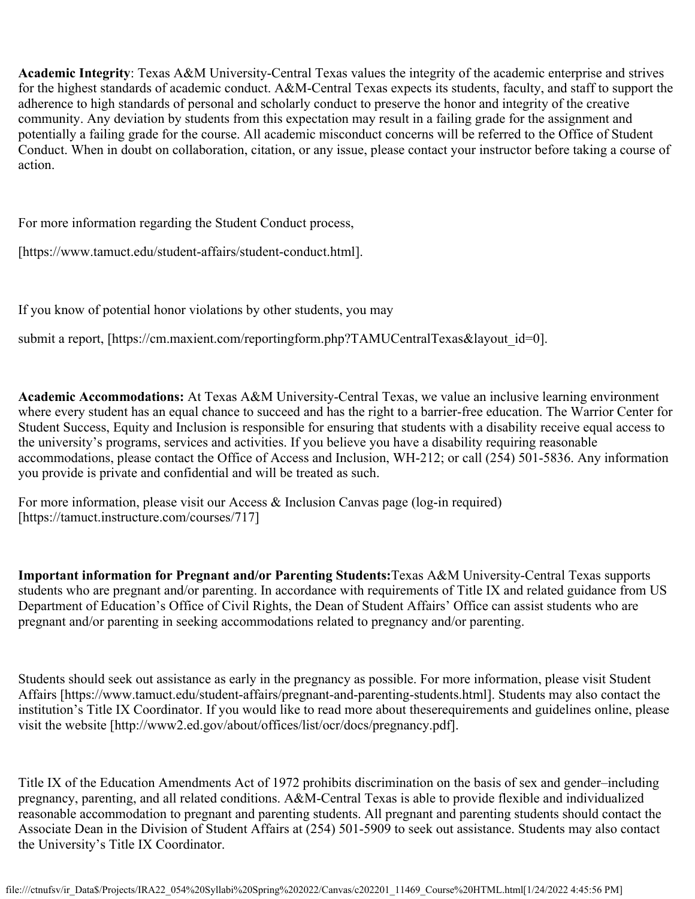**Academic Integrity**: Texas A&M University-Central Texas values the integrity of the academic enterprise and strives for the highest standards of academic conduct. A&M-Central Texas expects its students, faculty, and staff to support the adherence to high standards of personal and scholarly conduct to preserve the honor and integrity of the creative community. Any deviation by students from this expectation may result in a failing grade for the assignment and potentially a failing grade for the course. All academic misconduct concerns will be referred to the Office of Student Conduct. When in doubt on collaboration, citation, or any issue, please contact your instructor before taking a course of action.

For more information regarding the Student Conduct process,

[https://www.tamuct.edu/student-affairs/student-conduct.html].

If you know of potential honor violations by other students, you may

submit a report, [https://cm.maxient.com/reportingform.php?TAMUCentralTexas&layout\_id=0].

**Academic Accommodations:** At Texas A&M University-Central Texas, we value an inclusive learning environment where every student has an equal chance to succeed and has the right to a barrier-free education. The Warrior Center for Student Success, Equity and Inclusion is responsible for ensuring that students with a disability receive equal access to the university's programs, services and activities. If you believe you have a disability requiring reasonable accommodations, please contact the Office of Access and Inclusion, WH-212; or call (254) 501-5836. Any information you provide is private and confidential and will be treated as such.

For more information, please visit our Access & Inclusion Canvas page (log-in required) [https://tamuct.instructure.com/courses/717]

**Important information for Pregnant and/or Parenting Students:**Texas A&M University-Central Texas supports students who are pregnant and/or parenting. In accordance with requirements of Title IX and related guidance from US Department of Education's Office of Civil Rights, the Dean of Student Affairs' Office can assist students who are pregnant and/or parenting in seeking accommodations related to pregnancy and/or parenting.

Students should seek out assistance as early in the pregnancy as possible. For more information, please visit Student Affairs [https://www.tamuct.edu/student-affairs/pregnant-and-parenting-students.html]. Students may also contact the institution's Title IX Coordinator. If you would like to read more about theserequirements and guidelines online, please visit the website [http://www2.ed.gov/about/offices/list/ocr/docs/pregnancy.pdf].

Title IX of the Education Amendments Act of 1972 prohibits discrimination on the basis of sex and gender–including pregnancy, parenting, and all related conditions. A&M-Central Texas is able to provide flexible and individualized reasonable accommodation to pregnant and parenting students. All pregnant and parenting students should contact the Associate Dean in the Division of Student Affairs at (254) 501-5909 to seek out assistance. Students may also contact the University's Title IX Coordinator.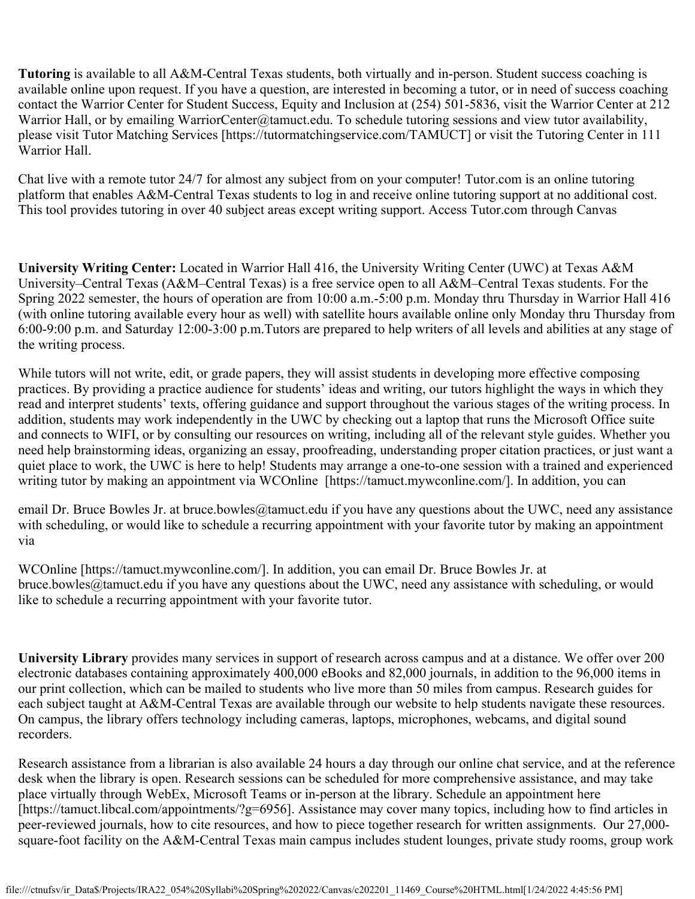**Tutoring** is available to all A&M-Central Texas students, both virtually and in-person. Student success coaching is available online upon request. If you have a question, are interested in becoming a tutor, or in need of success coaching contact the Warrior Center for Student Success, Equity and Inclusion at (254) 501-5836, visit the Warrior Center at 212 Warrior Hall, or by emailing WarriorCenter@tamuct.edu. To schedule tutoring sessions and view tutor availability, please visit Tutor Matching Services [https://tutormatchingservice.com/TAMUCT] or visit the Tutoring Center in 111 Warrior Hall.

Chat live with a remote tutor 24/7 for almost any subject from on your computer! Tutor.com is an online tutoring platform that enables A&M-Central Texas students to log in and receive online tutoring support at no additional cost. This tool provides tutoring in over 40 subject areas except writing support. Access Tutor.com through Canvas

**University Writing Center:** Located in Warrior Hall 416, the University Writing Center (UWC) at Texas A&M University–Central Texas (A&M–Central Texas) is a free service open to all A&M–Central Texas students. For the Spring 2022 semester, the hours of operation are from 10:00 a.m.-5:00 p.m. Monday thru Thursday in Warrior Hall 416 (with online tutoring available every hour as well) with satellite hours available online only Monday thru Thursday from 6:00-9:00 p.m. and Saturday 12:00-3:00 p.m.Tutors are prepared to help writers of all levels and abilities at any stage of the writing process.

While tutors will not write, edit, or grade papers, they will assist students in developing more effective composing practices. By providing a practice audience for students' ideas and writing, our tutors highlight the ways in which they read and interpret students' texts, offering guidance and support throughout the various stages of the writing process. In addition, students may work independently in the UWC by checking out a laptop that runs the Microsoft Office suite and connects to WIFI, or by consulting our resources on writing, including all of the relevant style guides. Whether you need help brainstorming ideas, organizing an essay, proofreading, understanding proper citation practices, or just want a quiet place to work, the UWC is here to help! Students may arrange a one-to-one session with a trained and experienced writing tutor by making an appointment via WCOnline [https://tamuct.mywconline.com/]. In addition, you can

email Dr. Bruce Bowles Jr. at bruce.bowles@tamuct.edu if you have any questions about the UWC, need any assistance with scheduling, or would like to schedule a recurring appointment with your favorite tutor by making an appointment via

WCOnline [https://tamuct.mywconline.com/]. In addition, you can email Dr. Bruce Bowles Jr. at bruce.bowles@tamuct.edu if you have any questions about the UWC, need any assistance with scheduling, or would like to schedule a recurring appointment with your favorite tutor.

**University Library** provides many services in support of research across campus and at a distance. We offer over 200 electronic databases containing approximately 400,000 eBooks and 82,000 journals, in addition to the 96,000 items in our print collection, which can be mailed to students who live more than 50 miles from campus. Research guides for each subject taught at A&M-Central Texas are available through our website to help students navigate these resources. On campus, the library offers technology including cameras, laptops, microphones, webcams, and digital sound recorders.

Research assistance from a librarian is also available 24 hours a day through our online chat service, and at the reference desk when the library is open. Research sessions can be scheduled for more comprehensive assistance, and may take place virtually through WebEx, Microsoft Teams or in-person at the library. Schedule an appointment here [https://tamuct.libcal.com/appointments/?g=6956]. Assistance may cover many topics, including how to find articles in peer-reviewed journals, how to cite resources, and how to piece together research for written assignments. Our 27,000 square-foot facility on the A&M-Central Texas main campus includes student lounges, private study rooms, group work